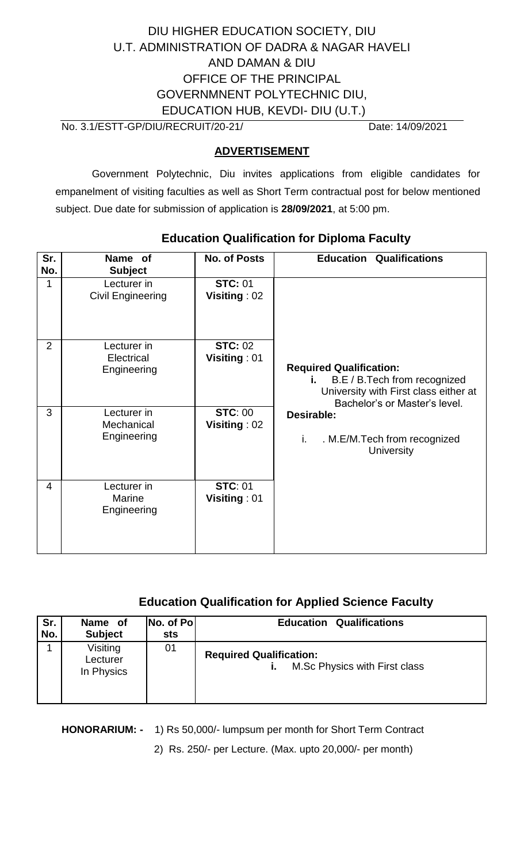# DIU HIGHER EDUCATION SOCIETY, DIU U.T. ADMINISTRATION OF DADRA & NAGAR HAVELI AND DAMAN & DIU OFFICE OF THE PRINCIPAL GOVERNMNENT POLYTECHNIC DIU, EDUCATION HUB, KEVDI- DIU (U.T.)

No. 3.1/ESTT-GP/DIU/RECRUIT/20-21/ Date: 14/09/2021

### **ADVERTISEMENT**

Government Polytechnic, Diu invites applications from eligible candidates for empanelment of visiting faculties as well as Short Term contractual post for below mentioned subject. Due date for submission of application is **28/09/2021**, at 5:00 pm.

| Sr.<br>No.     | Name of<br><b>Subject</b>                   | <b>No. of Posts</b>            | <b>Education Qualifications</b>                                                                                                                  |
|----------------|---------------------------------------------|--------------------------------|--------------------------------------------------------------------------------------------------------------------------------------------------|
| 1              | Lecturer in<br><b>Civil Engineering</b>     | <b>STC: 01</b><br>Visiting: 02 |                                                                                                                                                  |
| $\overline{2}$ | Lecturer in<br>Electrical<br>Engineering    | <b>STC: 02</b><br>Visiting: 01 | <b>Required Qualification:</b><br>B.E / B.Tech from recognized<br>i. I<br>University with First class either at<br>Bachelor's or Master's level. |
| 3              | Lecturer in<br>Mechanical<br>Engineering    | <b>STC: 00</b><br>Visiting: 02 | Desirable:<br>. M.E/M.Tech from recognized<br>i.<br><b>University</b>                                                                            |
| 4              | Lecturer in<br><b>Marine</b><br>Engineering | <b>STC: 01</b><br>Visiting: 01 |                                                                                                                                                  |

# **Education Qualification for Diploma Faculty**

## **Education Qualification for Applied Science Faculty**

| Sr. | Name of                            | No. of Pol | <b>Education Qualifications</b>                                       |
|-----|------------------------------------|------------|-----------------------------------------------------------------------|
| No. | <b>Subject</b>                     | sts        |                                                                       |
|     | Visiting<br>Lecturer<br>In Physics | 01         | <b>Required Qualification:</b><br>M.Sc Physics with First class<br>Ĺ. |

**HONORARIUM: -** 1) Rs 50,000/- lumpsum per month for Short Term Contract

2) Rs. 250/- per Lecture. (Max. upto 20,000/- per month)